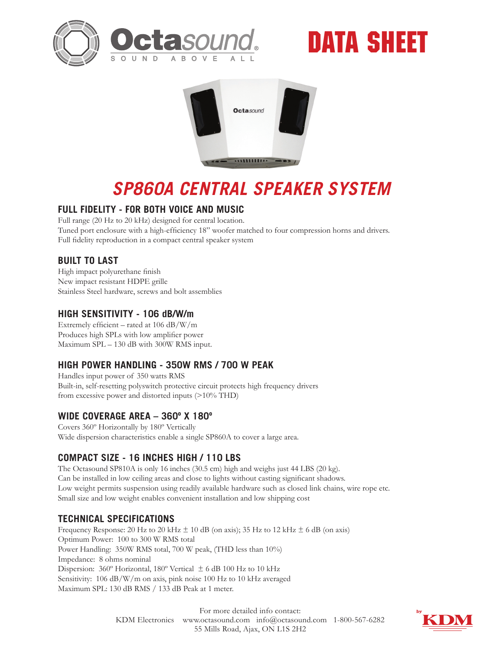





# *SP860A CENTRAL SPEAKER SYSTEM*

#### **FULL FIDELITY - FOR BOTH VOICE AND MUSIC**

Full range (20 Hz to 20 kHz) designed for central location. Tuned port enclosure with a high-efficiency 18" woofer matched to four compression horns and drivers. Full fidelity reproduction in a compact central speaker system

# **BUILT TO LAST**

High impact polyurethane finish New impact resistant HDPE grille Stainless Steel hardware, screws and bolt assemblies

#### **HIGH SENSITIVITY - 106 dB/W/m**

Extremely efficient – rated at 106 dB/W/m Produces high SPLs with low amplifier power Maximum SPL – 130 dB with 300W RMS input.

# **HIGH POWER HANDLING - 350W RMS / 700 W PEAK**

Handles input power of 350 watts RMS Built-in, self-resetting polyswitch protective circuit protects high frequency drivers from excessive power and distorted inputs (>10% THD)

# **WIDE COVERAGE AREA – 360º X 180º**

Covers 360º Horizontally by 180º Vertically Wide dispersion characteristics enable a single SP860A to cover a large area.

# **COMPACT SIZE - 16 INCHES HIGH / 110 LBS**

The Octasound SP810A is only 16 inches (30.5 cm) high and weighs just 44 LBS (20 kg). Can be installed in low ceiling areas and close to lights without casting significant shadows. Low weight permits suspension using readily available hardware such as closed link chains, wire rope etc. Small size and low weight enables convenient installation and low shipping cost

# **TECHNICAL SPECIFICATIONS**

Frequency Response: 20 Hz to 20 kHz  $\pm$  10 dB (on axis); 35 Hz to 12 kHz  $\pm$  6 dB (on axis) Optimum Power: 100 to 300 W RMS total Power Handling: 350W RMS total, 700 W peak, (THD less than 10%) Impedance: 8 ohms nominal Dispersion: 360º Horizontal, 180º Vertical ± 6 dB 100 Hz to 10 kHz Sensitivity: 106 dB/W/m on axis, pink noise 100 Hz to 10 kHz averaged Maximum SPL: 130 dB RMS / 133 dB Peak at 1 meter.